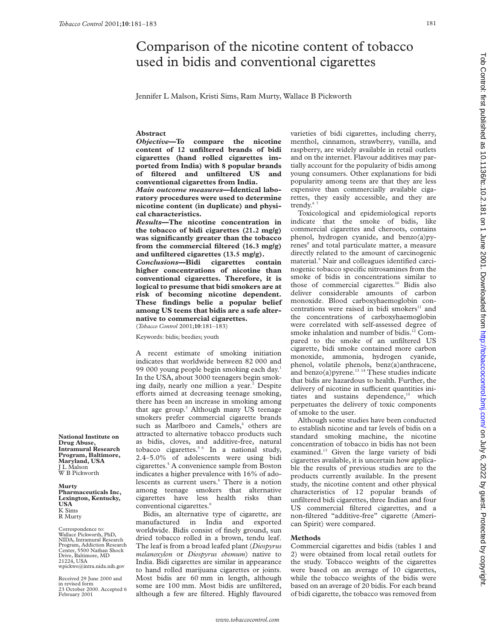# Comparison of the nicotine content of tobacco used in bidis and conventional cigarettes

Jennifer L Malson, Kristi Sims, Ram Murty, Wallace B Pickworth

# **Abstract**

*Objective***—To compare the nicotine content of 12 unfiltered brands of bidi cigarettes (hand rolled cigarettes imported from India) with 8 popular brands of filtered and unfiltered US and conventional cigarettes from India.**

*Main outcome measures***—Identical laboratory procedures were used to determine nicotine content (in duplicate) and physical characteristics.**

*Results***—The nicotine concentration in the tobacco of bidi cigarettes (21.2 mg/g) was significantly greater than the tobacco from the commercial filtered (16.3 mg/g)**

and unfiltered cigarettes (13.5 mg/g).<br>Conclusions—Bidi cigarettes contain *Conclusions*—Bidi cigarettes **higher concentrations of nicotine than conventional cigarettes. Therefore, it is logical to presume that bidi smokers are at risk of becoming nicotine dependent. These findings belie a popular belief among US teens that bidis are a safe alternative to commercial cigarettes.** (*Tobacco Control* 2001;**10**:181–183)

Keywords: bidis; beedies; youth

A recent estimate of smoking initiation indicates that worldwide between 82 000 and 99 000 young people begin smoking each day.1 In the USA, about 3000 teenagers begin smoking daily, nearly one million a year.<sup>2</sup> Despite efforts aimed at decreasing teenage smoking, there has been an increase in smoking among that age group.<sup>3</sup> Although many US teenage smokers prefer commercial cigarette brands such as Marlboro and Camels,<sup>4</sup> others are attracted to alternative tobacco products such as bidis, cloves, and additive-free, natural tobacco cigarettes.<sup>5 6</sup> In a national study, 2.4–5.0% of adolescents were using bidi cigarettes.5 A convenience sample from Boston indicates a higher prevalence with 16% of adolescents as current users.<sup>6</sup> There is a notion among teenage smokers that alternative cigarettes have less health risks than conventional cigarettes.<sup>6</sup>

Bidis, an alternative type of cigarette, are manufactured in India and exported worldwide. Bidis consist of finely ground, sun dried tobacco rolled in a brown, tendu leaf. The leaf is from a broad leafed plant (*Diospyrus melanoxylon* or *Diospyrus ebemum*) native to India. Bidi cigarettes are similar in appearance to hand rolled marijuana cigarettes or joints. Most bidis are 60 mm in length, although some are 100 mm. Most bidis are unfiltered, although a few are filtered. Highly flavoured

varieties of bidi cigarettes, including cherry, menthol, cinnamon, strawberry, vanilla, and raspberry, are widely available in retail outlets and on the internet. Flavour additives may partially account for the popularity of bidis among young consumers. Other explanations for bidi popularity among teens are that they are less expensive than commercially available cigarettes, they easily accessible, and they are trendy.<sup>6</sup>

Toxicological and epidemiological reports indicate that the smoke of bidis, like commercial cigarettes and cheroots, contains phenol, hydrogen cyanide, and benzo(a)pyrenes<sup>8</sup> and total particulate matter, a measure directly related to the amount of carcinogenic material.<sup>9</sup> Nair and colleagues identified carcinogenic tobacco specific nitrosamines from the smoke of bidis in concentrations similar to those of commercial cigarettes.<sup>10</sup> Bidis also deliver considerable amounts of carbon monoxide. Blood carboxyhaemoglobin concentrations were raised in bidi smokers $11$  and the concentrations of carboxyhaemoglobin were correlated with self-assessed degree of smoke inhalation and number of bidis.<sup>12</sup> Compared to the smoke of an unfiltered US cigarette, bidi smoke contained more carbon monoxide, ammonia, hydrogen cyanide, phenol, volatile phenols, benz(a)anthracene, and benzo(a)pyrene. $^{13}$ <sup>14</sup> These studies indicate that bidis are hazardous to health. Further, the delivery of nicotine in sufficient quantities initiates and sustains dependence,<sup>15</sup> which perpetuates the delivery of toxic components of smoke to the user.

Although some studies have been conducted to establish nicotine and tar levels of bidis on a standard smoking machine, the nicotine concentration of tobacco in bidis has not been examined.<sup>13</sup> Given the large variety of bidi cigarettes available, it is uncertain how applicable the results of previous studies are to the products currently available. In the present study, the nicotine content and other physical characteristics of 12 popular brands of unfiltered bidi cigarettes, three Indian and four US commercial filtered cigarettes, and a non-filtered "additive-free" cigarette (American Spirit) were compared.

# **Methods**

Commercial cigarettes and bidis (tables 1 and 2) were obtained from local retail outlets for the study. Tobacco weights of the cigarettes were based on an average of 10 cigarettes, while the tobacco weights of the bidis were based on an average of 20 bidis. For each brand of bidi cigarette, the tobacco was removed from

**National Institute on Drug Abuse, Intramural Research Program, Baltimore, Maryland, USA** J L Malson W B Pickworth

#### **Murty Pharmaceuticals Inc, Lexington, Kentucky, USA** K Sims R Murty

Correspondence to: Wallace Pickworth, PhD, NIDA, Intramural Research Program, Addiction Research Center, 5500 Nathan Shock Drive, Baltimore, MD 21224, USA wpickwo@intra.nida.nih.gov

Received 29 June 2000 and in revised form 23 October 2000. Accepted 6 February 2001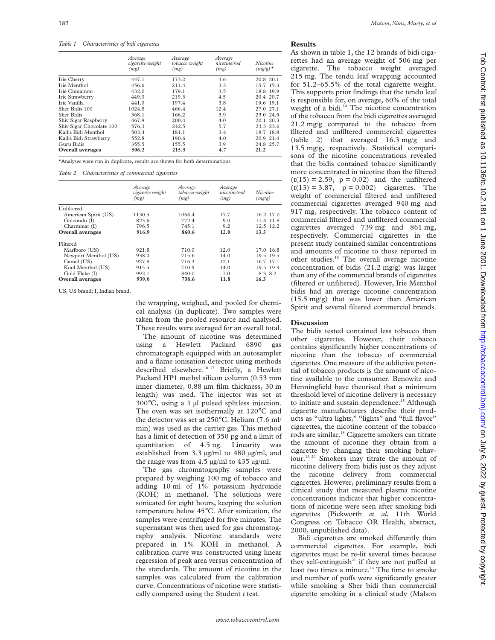## *Table 1 Characteristics of bidi cigarettes*

|                          | Average<br>cigarette weight<br>(mg) | Average<br>tobacco weight<br>(mg) | Average<br>nicotine/rod<br>(mg) | Nicotine<br>$(mg/g)^*$ |
|--------------------------|-------------------------------------|-----------------------------------|---------------------------------|------------------------|
| Irie Cherry              | 447.1                               | 173.2                             | 3.6                             | 20.8 20.1              |
| Irie Menthol             | 456.6                               | 211.4                             | 3.3                             | 15.7 15.3              |
| Irie Cinnamon            | 432.0                               | 179.1                             | 3.5                             | 18.8 19.9              |
| Irie Strawberry          | 449.0                               | 219.3                             | 4.5                             | 20.4 20.7              |
| Irie Vanilla             | 441.0                               | 197.4                             | 3.8                             | 19.6 19.1              |
| Sher Bidis 100           | 1024.8                              | 466.4                             | 12.4                            | 27.0 27.1              |
| Sher Bidis               | 368.1                               | 166.2                             | 3.9                             | 23.0 24.5              |
| Shiv Sigar Raspberry     | 467.9                               | 200.4                             | 4.0                             | 20.1 20.3              |
| Shiv Sigar Chocolate 100 | 576.3                               | 242.5                             | 5.7                             | 23.3 23.6              |
| Kailis Bidi Menthol      | 503.4                               | 181.1                             | 3.4                             | 18.7 18.8              |
| Kailis Bidi Strawberry   | 552.8                               | 190.6                             | 4.0                             | 20.9 21.4              |
| Guru Bidis               | 355.5                               | 155.5                             | 3.9                             | 24.8 25.7              |
| <b>Overall</b> averages  | 506.2                               | 215.3                             | 4.7                             | 21.2                   |

\*Analyses were run in duplicate, results are shown for both determinations

*Table 2 Characteristics of commercial cigarettes*

|                         | Average<br>cigarette weight<br>(mg) | Average<br>tobacco weight<br>(mg) | Average<br>nicotine/rod<br>(mg) | Nicotine<br>(mg/g) |
|-------------------------|-------------------------------------|-----------------------------------|---------------------------------|--------------------|
| Unfiltered              |                                     |                                   |                                 |                    |
| American Spirit (US)    | 1130.5                              | 1064.4                            | 17.7                            | 16.2 17.0          |
| Golcondo (I)            | 823.6                               | 772.4                             | 9.0                             | 11.4 11.8          |
| Charminar (I)           | 796.5                               | 745.1                             | 9.2                             | 12.5 12.2          |
| Overall averages        | 916.9                               | 860.6                             | 12.0                            | 13.5               |
| Filtered                |                                     |                                   |                                 |                    |
| Marlboro (US)           | 921.8                               | 710.0                             | 12.0                            | 17.0 16.8          |
| Newport Menthol (US)    | 938.0                               | 715.6                             | 14.0                            | 19.5 19.5          |
| Camel (US)              | 927.8                               | 716.3                             | 12.1                            | 16.7 17.1          |
| Kool Menthol (US)       | 915.5                               | 710.9                             | 14.0                            | 19.5 19.9          |
| Gold Flake (I)          | 992.1                               | 840.0                             | 7.0                             | 8.3 8.2            |
| <b>Overall averages</b> | 939.0                               | 738.6                             | 11.8                            | 16.3               |

US, US brand; I, Indian brand.

the wrapping, weighed, and pooled for chemical analysis (in duplicate). Two samples were taken from the pooled resource and analysed. These results were averaged for an overall total.

The amount of nicotine was determined using a Hewlett Packard 6890 gas chromatograph equipped with an autosampler and a flame ionisation detector using methods described elsewhere.16 17 Briefly, a Hewlett Packard HP1 methyl silicon column (0.53 mm inner diameter, 0.88 µm film thickness, 30 m length) was used. The injector was set at  $300^{\circ}$ C, using a 1 µl pulsed splitless injection. The oven was set isothermally at 120°C and the detector was set at 250°C. Helium (7.6 ml/ min) was used as the carrier gas. This method has a limit of detection of 350 pg and a limit of quantitation of 4.5 ng. Linearity was established from 3.3 µg/ml to 480 µg/ml, and the range was from 4.5 µg/ml to 435 µg/ml.

The gas chromatography samples were prepared by weighing 100 mg of tobacco and adding 10 ml of 1% potassium hydroxide (KOH) in methanol. The solutions were sonicated for eight hours, keeping the solution temperature below 45°C. After sonication, the samples were centrifuged for five minutes. The supernatant was then used for gas chromatography analysis. Nicotine standards were prepared in 1% KOH in methanol. A calibration curve was constructed using linear regression of peak area versus concentration of the standards. The amount of nicotine in the samples was calculated from the calibration curve. Concentrations of nicotine were statistically compared using the Student *t* test.

As shown in table 1, the 12 brands of bidi cigarettes had an average weight of 506 mg per cigarette. The tobacco weight averaged 215 mg. The tendu leaf wrapping accounted for 51.2–65.5% of the total cigarette weight. This supports prior findings that the tendu leaf is responsible for, on average, 60% of the total weight of a bidi.<sup>14</sup> The nicotine concentration of the tobacco from the bidi cigarettes averaged 21.2 mg/g compared to the tobacco from filtered and unfiltered commercial cigarettes (table 2) that averaged 16.3 mg/g and 13.5 mg/g, respectively. Statistical comparisons of the nicotine concentrations revealed that the bidis contained tobacco significantly more concentrated in nicotine than the filtered  $(t(15) = 2.59, p = 0.02)$  and the unfiltered  $(t(13) = 3.87, p = 0.002)$  cigarettes. The weight of commercial filtered and unfiltered commercial cigarettes averaged 940 mg and 917 mg, respectively. The tobacco content of commercial filtered and unfiltered commercial cigarettes averaged 739 mg and 861 mg, respectively. Commercial cigarettes in the present study contained similar concentrations and amounts of nicotine to those reported in other studies.<sup>18</sup> The overall average nicotine concentration of bidis (21.2 mg/g) was larger than any of the commercial brands of cigarettes (filtered or unfiltered). However, Irie Menthol bidis had an average nicotine concentration (15.5 mg/g) that was lower than American Spirit and several filtered commercial brands.

# **Discussion**

The bidis tested contained less tobacco than other cigarettes. However, their tobacco contains significantly higher concentrations of nicotine than the tobacco of commercial cigarettes. One measure of the addictive potential of tobacco products is the amount of nicotine available to the consumer. Benowitz and Henningfield have theorised that a minimum threshold level of nicotine delivery is necessary to initiate and sustain dependence.<sup>15</sup> Although cigarette manufacturers describe their products as "ultra lights," "lights" and "full flavor" cigarettes, the nicotine content of the tobacco rods are similar.18 Cigarette smokers can titrate the amount of nicotine they obtain from a cigarette by changing their smoking behaviour.19 20 Smokers may titrate the amount of nicotine delivery from bidis just as they adjust the nicotine delivery from commercial cigarettes. However, preliminary results from a clinical study that measured plasma nicotine concentrations indicate that higher concentrations of nicotine were seen after smoking bidi cigarettes (Pickworth *et al*, 11th World Congress on Tobacco OR Health, abstract, 2000, unpublished data).

Bidi cigarettes are smoked differently than commercial cigarettes. For example, bidi cigarettes must be re-lit several times because they self-extinguish<sup>21</sup> if they are not puffed at least two times a minute.<sup>14</sup> The time to smoke and number of puffs were significantly greater while smoking a Sher bidi than commercial cigarette smoking in a clinical study (Malson